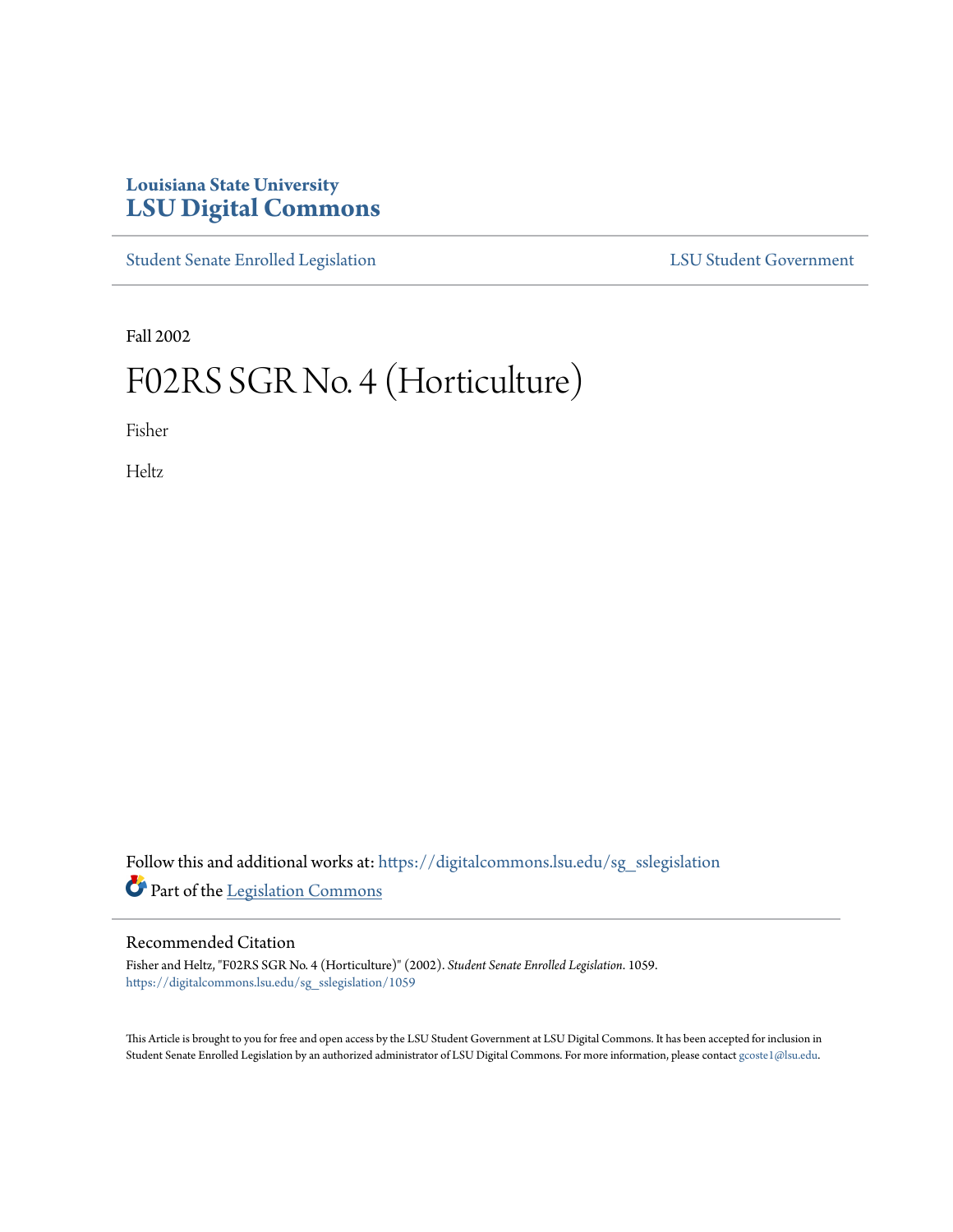# **Louisiana State University [LSU Digital Commons](https://digitalcommons.lsu.edu?utm_source=digitalcommons.lsu.edu%2Fsg_sslegislation%2F1059&utm_medium=PDF&utm_campaign=PDFCoverPages)**

[Student Senate Enrolled Legislation](https://digitalcommons.lsu.edu/sg_sslegislation?utm_source=digitalcommons.lsu.edu%2Fsg_sslegislation%2F1059&utm_medium=PDF&utm_campaign=PDFCoverPages) [LSU Student Government](https://digitalcommons.lsu.edu/sg?utm_source=digitalcommons.lsu.edu%2Fsg_sslegislation%2F1059&utm_medium=PDF&utm_campaign=PDFCoverPages)

Fall 2002

# F02RS SGR No. 4 (Horticulture)

Fisher

Heltz

Follow this and additional works at: [https://digitalcommons.lsu.edu/sg\\_sslegislation](https://digitalcommons.lsu.edu/sg_sslegislation?utm_source=digitalcommons.lsu.edu%2Fsg_sslegislation%2F1059&utm_medium=PDF&utm_campaign=PDFCoverPages) Part of the [Legislation Commons](http://network.bepress.com/hgg/discipline/859?utm_source=digitalcommons.lsu.edu%2Fsg_sslegislation%2F1059&utm_medium=PDF&utm_campaign=PDFCoverPages)

#### Recommended Citation

Fisher and Heltz, "F02RS SGR No. 4 (Horticulture)" (2002). *Student Senate Enrolled Legislation*. 1059. [https://digitalcommons.lsu.edu/sg\\_sslegislation/1059](https://digitalcommons.lsu.edu/sg_sslegislation/1059?utm_source=digitalcommons.lsu.edu%2Fsg_sslegislation%2F1059&utm_medium=PDF&utm_campaign=PDFCoverPages)

This Article is brought to you for free and open access by the LSU Student Government at LSU Digital Commons. It has been accepted for inclusion in Student Senate Enrolled Legislation by an authorized administrator of LSU Digital Commons. For more information, please contact [gcoste1@lsu.edu.](mailto:gcoste1@lsu.edu)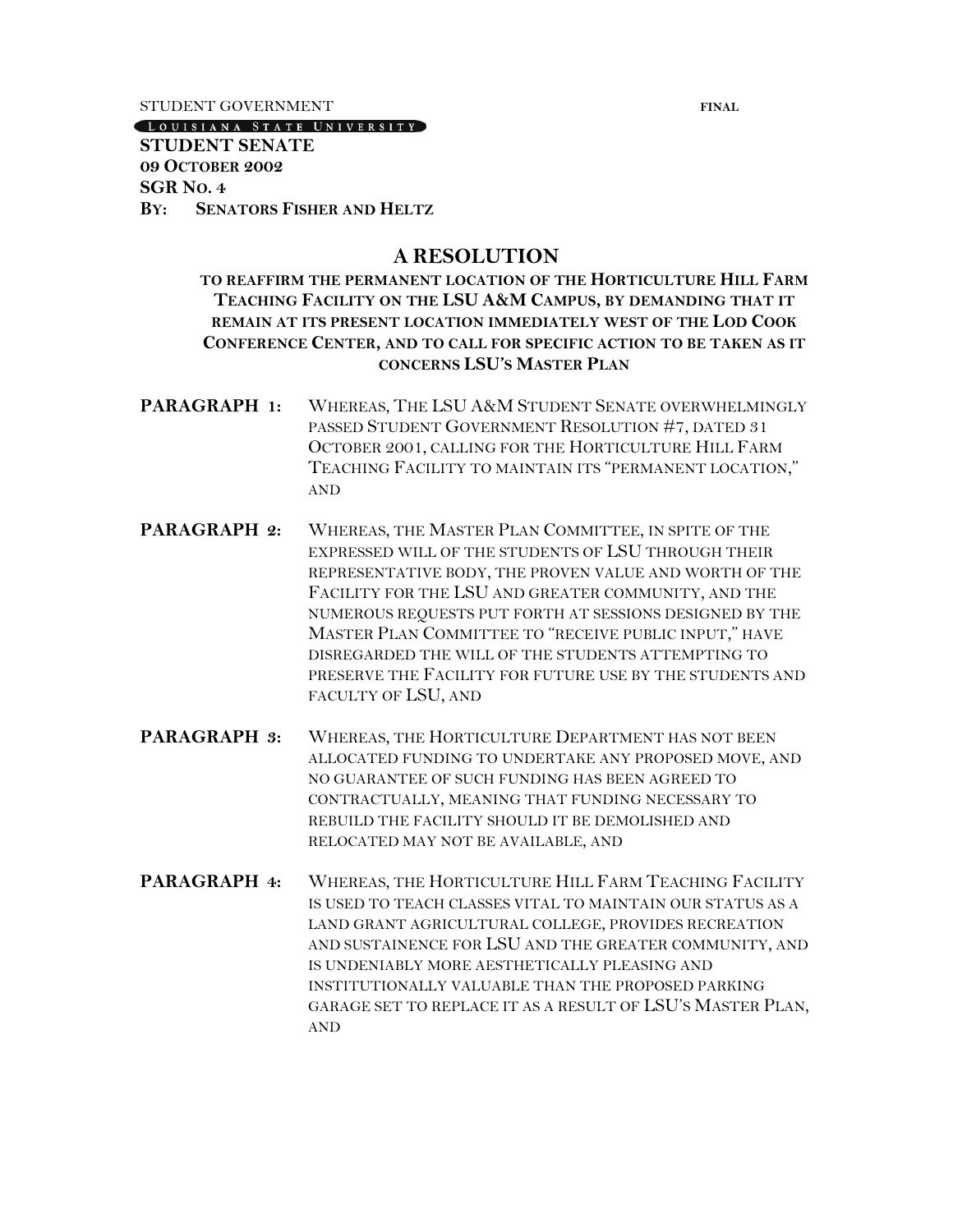STUDENT GOVERNMENT **FINAL** 

[LOUISIANA STATE UNIVERSITY]

**STUDENT SENATE 09 OCTOBER 2002 SGR NO. 4 BY: SENATORS FISHER AND HELTZ**

# **A RESOLUTION**

## **TO REAFFIRM THE PERMANENT LOCATION OF THE HORTICULTURE HILL FARM TEACHING FACILITY ON THE LSU A&M CAMPUS, BY DEMANDING THAT IT REMAIN AT ITS PRESENT LOCATION IMMEDIATELY WEST OF THE LOD COOK CONFERENCE CENTER, AND TO CALL FOR SPECIFIC ACTION TO BE TAKEN AS IT CONCERNS LSU'S MASTER PLAN**

- **PARAGRAPH 1:** WHEREAS, THE LSU A&M STUDENT SENATE OVERWHELMINGLY PASSED STUDENT GOVERNMENT RESOLUTION #7, DATED 31 OCTOBER 2001, CALLING FOR THE HORTICULTURE HILL FARM TEACHING FACILITY TO MAINTAIN ITS "PERMANENT LOCATION," AND
- **PARAGRAPH 2:** WHEREAS, THE MASTER PLAN COMMITTEE, IN SPITE OF THE EXPRESSED WILL OF THE STUDENTS OF LSU THROUGH THEIR REPRESENTATIVE BODY, THE PROVEN VALUE AND WORTH OF THE FACILITY FOR THE LSU AND GREATER COMMUNITY, AND THE NUMEROUS REQUESTS PUT FORTH AT SESSIONS DESIGNED BY THE MASTER PLAN COMMITTEE TO "RECEIVE PUBLIC INPUT," HAVE DISREGARDED THE WILL OF THE STUDENTS ATTEMPTING TO PRESERVE THE FACILITY FOR FUTURE USE BY THE STUDENTS AND FACULTY OF LSU, AND
- **PARAGRAPH 3:** WHEREAS, THE HORTICULTURE DEPARTMENT HAS NOT BEEN ALLOCATED FUNDING TO UNDERTAKE ANY PROPOSED MOVE, AND NO GUARANTEE OF SUCH FUNDING HAS BEEN AGREED TO CONTRACTUALLY, MEANING THAT FUNDING NECESSARY TO REBUILD THE FACILITY SHOULD IT BE DEMOLISHED AND RELOCATED MAY NOT BE AVAILABLE, AND
- **PARAGRAPH 4:** WHEREAS, THE HORTICULTURE HILL FARM TEACHING FACILITY IS USED TO TEACH CLASSES VITAL TO MAINTAIN OUR STATUS AS A LAND GRANT AGRICULTURAL COLLEGE, PROVIDES RECREATION AND SUSTAINENCE FOR LSU AND THE GREATER COMMUNITY, AND IS UNDENIABLY MORE AESTHETICALLY PLEASING AND INSTITUTIONALLY VALUABLE THAN THE PROPOSED PARKING GARAGE SET TO REPLACE IT AS A RESULT OF LSU'S MASTER PLAN, AND